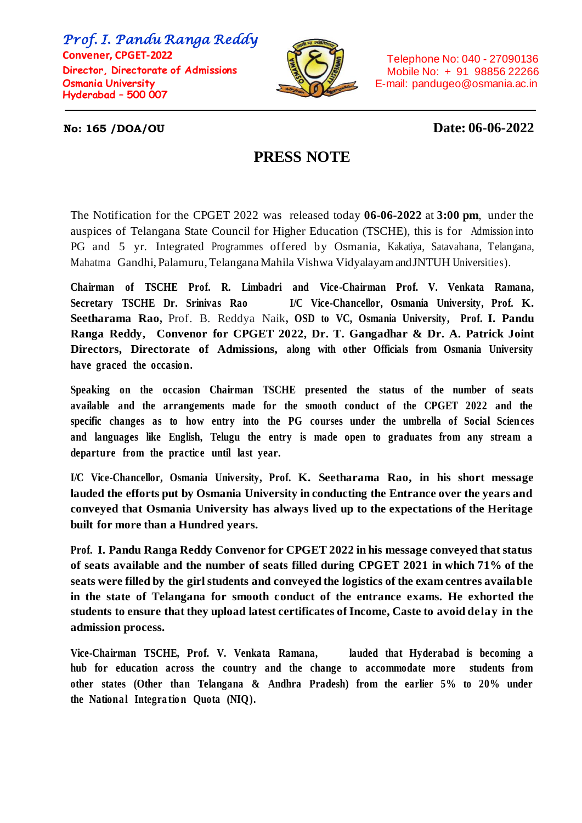*Prof. I. Pandu Ranga Reddy*  **Convener, CPGET-2022 Director, Directorate of Admissions Osmania University Hyderabad – 500 007**



 Telephone No: 040 - 27090136 Mobile No: + 91 98856 22266 E-mail: pandugeo@osmania.ac.in

## **No: 165 /DOA/OU Date: 06-06-2022**

## **PRESS NOTE**

The Notification for the CPGET 2022 was released today **06-06-2022** at **3:00 pm**, under the auspices of Telangana State Council for Higher Education (TSCHE), this is for Admission into PG and 5 yr. Integrated Programmes offered by Osmania, Kakatiya, Satavahana, Telangana, Mahatma Gandhi, Palamuru, Telangana Mahila Vishwa Vidyalayam and JNTUH Universities).

**Chairman of TSCHE Prof. R. Limbadri and Vice-Chairman Prof. V. Venkata Ramana, Secretary TSCHE Dr. Srinivas Rao I/C Vice-Chancellor, Osmania University, Prof. [K.](https://www.google.com/search?rlz=1C1RXQR_enIN946IN946&sxsrf=ALiCzsYjUazvW_IXPMlnu2gnI-k6pn3x1w:1654248060747&q=K.Seetharama+Rao&stick=H4sIAAAAAAAAAONgVuLVT9c3NEw2L4u3LDBOesRowS3w8sc9YSn9SWtOXmPU5OIKzsgvd80rySypFJLmYoOyBKX4uVB18ixiFfDWC05NLclILErMTVQISswHANvRUKpfAAAA&sa=X&ved=2ahUKEwiC05-g-pD4AhX9S2wGHZT3CjgQzIcDKAB6BAgfEAE) [Seetharama Rao](https://www.google.com/search?rlz=1C1RXQR_enIN946IN946&sxsrf=ALiCzsYjUazvW_IXPMlnu2gnI-k6pn3x1w:1654248060747&q=K.Seetharama+Rao&stick=H4sIAAAAAAAAAONgVuLVT9c3NEw2L4u3LDBOesRowS3w8sc9YSn9SWtOXmPU5OIKzsgvd80rySypFJLmYoOyBKX4uVB18ixiFfDWC05NLclILErMTVQISswHANvRUKpfAAAA&sa=X&ved=2ahUKEwiC05-g-pD4AhX9S2wGHZT3CjgQzIcDKAB6BAgfEAE),** Prof. B. Reddya Naik**, OSD to VC, Osmania University, Prof. I. Pandu Ranga Reddy, Convenor for CPGET 2022, Dr. T. Gangadhar & Dr. A. Patrick Joint Directors, Directorate of Admissions, along with other Officials from Osmania University have graced the occasio n.**

**Speaking on the occasion Chairman TSCHE presented the status of the number of seats available and the arrangements made for the smooth conduct of the CPGET 2022 and the specific changes as to how entry into the PG courses under the umbrella of Social Sciences and languages like English, Telugu the entry is made open to graduates from any stream a departure from the practice until last year.** 

**I/C Vice-Chancellor, Osmania University, Prof. K. [Seetharama Rao, i](https://www.google.com/search?rlz=1C1RXQR_enIN946IN946&sxsrf=ALiCzsYjUazvW_IXPMlnu2gnI-k6pn3x1w:1654248060747&q=K.Seetharama+Rao&stick=H4sIAAAAAAAAAONgVuLVT9c3NEw2L4u3LDBOesRowS3w8sc9YSn9SWtOXmPU5OIKzsgvd80rySypFJLmYoOyBKX4uVB18ixiFfDWC05NLclILErMTVQISswHANvRUKpfAAAA&sa=X&ved=2ahUKEwiC05-g-pD4AhX9S2wGHZT3CjgQzIcDKAB6BAgfEAE)n his short message lauded the efforts put by Osmania University in conducting the Entrance over the years and conveyed that Osmania University has always lived up to the expectations of the Heritage built for more than a Hundred years.** 

**Prof. I. Pandu Ranga Reddy Convenor for CPGET 2022 in his message conveyed that status of seats available and the number of seats filled during CPGET 2021 in which 71% of the seats were filled by the girl students and conveyed the logistics of the exam centres available in the state of Telangana for smooth conduct of the entrance exams. He exhorted the students to ensure that they upload latest certificates of Income, Caste to avoid delay in the admission process.** 

**Vice-Chairman TSCHE, Prof. V. Venkata Ramana, lauded that Hyderabad is becoming a hub for education across the country and the change to accommodate more students from other states (Other than Telangana & Andhra Pradesh) from the earlier 5% to 20% under**  the National Integration Quota (NIQ).